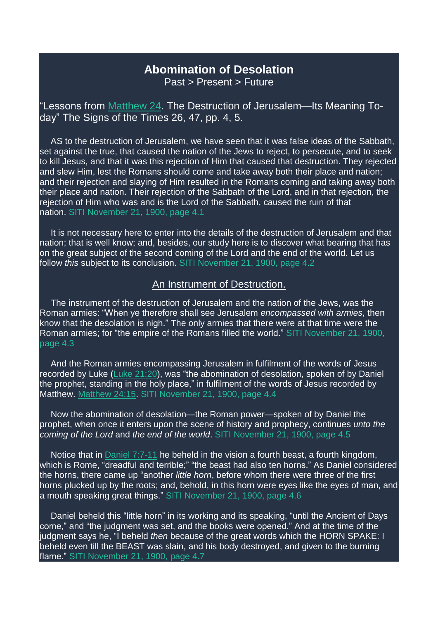## **Abomination of Desolation**

Past > Present > Future

"Lessons from [Matthew](https://m.egwwritings.org/en/book/1965.48912#48912) 24. The Destruction of Jerusalem—Its Meaning Today" The Signs of the Times 26, 47, pp. 4, 5.

AS to the destruction of Jerusalem, we have seen that it was false ideas of the Sabbath, set against the true, that caused the nation of the Jews to reject, to persecute, and to seek to kill Jesus, and that it was this rejection of Him that caused that destruction. They rejected and slew Him, lest the Romans should come and take away both their place and nation; and their rejection and slaying of Him resulted in the Romans coming and taking away both their place and nation. Their rejection of the Sabbath of the Lord, and in that rejection, the rejection of Him who was and is the Lord of the Sabbath, caused the ruin of that nation. SITI November 21, 1900, page 4.1

It is not necessary here to enter into the details of the destruction of Jerusalem and that nation; that is well know; and, besides, our study here is to discover what bearing that has on the great subject of the second coming of the Lord and the end of the world. Let us follow *this* subject to its conclusion. SITI November 21, 1900, page 4.2

## An Instrument of Destruction.

The instrument of the destruction of Jerusalem and the nation of the Jews, was the Roman armies: "When ye therefore shall see Jerusalem *encompassed with armies*, then know that the desolation is nigh." The only armies that there were at that time were the Roman armies; for "the empire of the Romans filled the world." SITI November 21, 1900, page 4.3

And the Roman armies encompassing Jerusalem in fulfilment of the words of Jesus recorded by Luke (Luke [21:20\)](https://m.egwwritings.org/en/book/1965.52731#52731), was "the abomination of desolation, spoken of by Daniel the prophet, standing in the holy place," in fulfilment of the words of Jesus recorded by Matthew. [Matthew](https://m.egwwritings.org/en/book/1965.48940#48940) 24:15. SITI November 21, 1900, page 4.4

Now the abomination of desolation—the Roman power—spoken of by Daniel the prophet, when once it enters upon the scene of history and prophecy, continues *unto the coming of the Lord* and *the end of the world*. SITI November 21, 1900, page 4.5

Notice that in [Daniel](https://m.egwwritings.org/en/book/1965.44767#44767) 7:7-11 he beheld in the vision a fourth beast, a fourth kingdom, which is Rome, "dreadful and terrible;" "the beast had also ten horns." As Daniel considered the horns, there came up "another *little horn*, before whom there were three of the first horns plucked up by the roots; and, behold, in this horn were eyes like the eyes of man, and a mouth speaking great things." SITI November 21, 1900, page 4.6

Daniel beheld this "little horn" in its working and its speaking, "until the Ancient of Days come," and "the judgment was set, and the books were opened." And at the time of the judgment says he, "I beheld *then* because of the great words which the HORN SPAKE: I beheld even till the BEAST was slain, and his body destroyed, and given to the burning flame." SITI November 21, 1900, page 4.7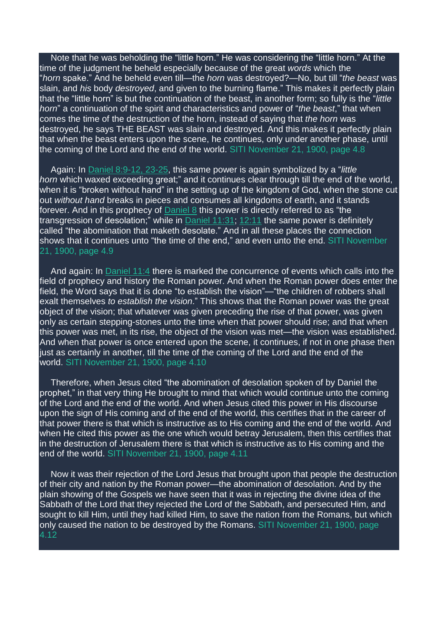Note that he was beholding the "little horn." He was considering the "little horn." At the time of the judgment he beheld especially because of the great *words* which the "*horn* spake." And he beheld even till—the *horn* was destroyed?—No, but till "*the beast* was slain, and *his* body *destroyed*, and given to the burning flame." This makes it perfectly plain that the "little horn" is but the continuation of the beast, in another form; so fully is the "*little horn*" a continuation of the spirit and characteristics and power of "*the beast*," that when comes the time of the destruction of the horn, instead of saying that *the horn* was destroyed, he says THE BEAST was slain and destroyed. And this makes it perfectly plain that when the beast enters upon the scene, he continues, only under another phase, until the coming of the Lord and the end of the world. SITI November 21, 1900, page 4.8

Again: In Daniel [8:9-12,](https://m.egwwritings.org/en/book/1965.44828#44828) 23-25, this same power is again symbolized by a "*little horn* which waxed exceeding great;" and it continues clear through till the end of the world, when it is "broken without hand" in the setting up of the kingdom of God, when the stone cut out *without hand* breaks in pieces and consumes all kingdoms of earth, and it stands forever. And in this prophecy of [Daniel](https://m.egwwritings.org/en/book/1965.44812#44812) 8 this power is directly referred to as "the transgression of desolation;" while in [Daniel](https://m.egwwritings.org/en/book/1965.45025#45025) 11:31; [12:11](https://m.egwwritings.org/en/book/1965.45076#45076) the same power is definitely called "the abomination that maketh desolate." And in all these places the connection shows that it continues unto "the time of the end," and even unto the end. SITI November 21, 1900, page 4.9

And again: In [Daniel](https://m.egwwritings.org/en/book/1965.44971#44971) 11:4 there is marked the concurrence of events which calls into the field of prophecy and history the Roman power. And when the Roman power does enter the field, the Word says that it is done "to establish the vision"—"the children of robbers shall exalt themselves *to establish the vision*." This shows that the Roman power was the great object of the vision; that whatever was given preceding the rise of that power, was given only as certain stepping-stones unto the time when that power should rise; and that when this power was met, in its rise, the object of the vision was met—the vision was established. And when that power is once entered upon the scene, it continues, if not in one phase then just as certainly in another, till the time of the coming of the Lord and the end of the world. SITI November 21, 1900, page 4.10

Therefore, when Jesus cited "the abomination of desolation spoken of by Daniel the prophet," in that very thing He brought to mind that which would continue unto the coming of the Lord and the end of the world. And when Jesus cited this power in His discourse upon the sign of His coming and of the end of the world, this certifies that in the career of that power there is that which is instructive as to His coming and the end of the world. And when He cited this power as the one which would betray Jerusalem, then this certifies that in the destruction of Jerusalem there is that which is instructive as to His coming and the end of the world. SITI November 21, 1900, page 4.11

Now it was their rejection of the Lord Jesus that brought upon that people the destruction of their city and nation by the Roman power—the abomination of desolation. And by the plain showing of the Gospels we have seen that it was in rejecting the divine idea of the Sabbath of the Lord that they rejected the Lord of the Sabbath, and persecuted Him, and sought to kill Him, until they had killed Him, to save the nation from the Romans, but which only caused the nation to be destroyed by the Romans. SITI November 21, 1900, page 4.12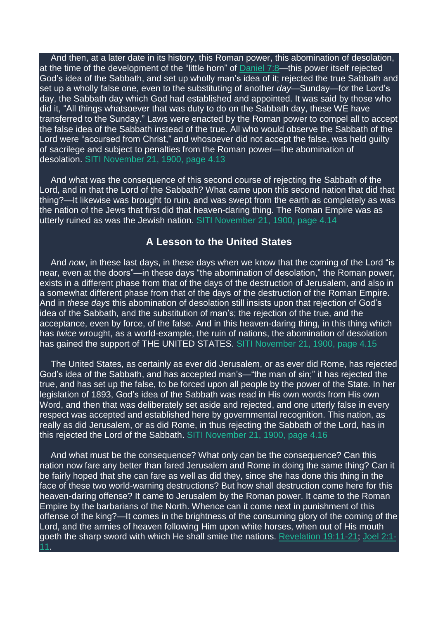And then, at a later date in its history, this Roman power, this abomination of desolation, at the time of the development of the "little horn" of [Daniel](https://m.egwwritings.org/en/book/1965.44769#44769) 7:8—this power itself rejected God's idea of the Sabbath, and set up wholly man's idea of it; rejected the true Sabbath and set up a wholly false one, even to the substituting of another *day*—Sunday—for the Lord's day, the Sabbath day which God had established and appointed. It was said by those who did it, "All things whatsoever that was duty to do on the Sabbath day, these WE have transferred to the Sunday." Laws were enacted by the Roman power to compel all to accept the false idea of the Sabbath instead of the true. All who would observe the Sabbath of the Lord were "accursed from Christ," and whosoever did not accept the false, was held guilty of sacrilege and subject to penalties from the Roman power—the abomination of desolation. SITI November 21, 1900, page 4.13

And what was the consequence of this second course of rejecting the Sabbath of the Lord, and in that the Lord of the Sabbath? What came upon this second nation that did that thing?—It likewise was brought to ruin, and was swept from the earth as completely as was the nation of the Jews that first did that heaven-daring thing. The Roman Empire was as utterly ruined as was the Jewish nation. SITI November 21, 1900, page 4.14

## **A Lesson to the United States**

And *now*, in these last days, in these days when we know that the coming of the Lord "is near, even at the doors"—in these days "the abomination of desolation," the Roman power, exists in a different phase from that of the days of the destruction of Jerusalem, and also in a somewhat different phase from that of the days of the destruction of the Roman Empire. And in *these days* this abomination of desolation still insists upon that rejection of God's idea of the Sabbath, and the substitution of man's; the rejection of the true, and the acceptance, even by force, of the false. And in this heaven-daring thing, in this thing which has *twice* wrought, as a world-example, the ruin of nations, the abomination of desolation has gained the support of THE UNITED STATES. SITI November 21, 1900, page 4.15

The United States, as certainly as ever did Jerusalem, or as ever did Rome, has rejected God's idea of the Sabbath, and has accepted man's—"the man of sin;" it has rejected the true, and has set up the false, to be forced upon all people by the power of the State. In her legislation of 1893, God's idea of the Sabbath was read in His own words from His own Word, and then that was deliberately set aside and rejected, and one utterly false in every respect was accepted and established here by governmental recognition. This nation, as really as did Jerusalem, or as did Rome, in thus rejecting the Sabbath of the Lord, has in this rejected the Lord of the Sabbath. SITI November 21, 1900, page 4.16

And what must be the consequence? What only *can* be the consequence? Can this nation now fare any better than fared Jerusalem and Rome in doing the same thing? Can it be fairly hoped that she can fare as well as did they, since she has done this thing in the face of these two world-warning destructions? But how shall destruction come here for this heaven-daring offense? It came to Jerusalem by the Roman power. It came to the Roman Empire by the barbarians of the North. Whence can it come next in punishment of this offense of the king?—It comes in the brightness of the consuming glory of the coming of the Lord, and the armies of heaven following Him upon white horses, when out of His mouth goeth the sharp sword with which He shall smite the nations. [Revelation](https://m.egwwritings.org/en/book/1965.63311#63311) 19:11-21; [Joel](https://m.egwwritings.org/en/book/1965.45534#45534) 2:1- [11.](https://m.egwwritings.org/en/book/1965.45534#45534)